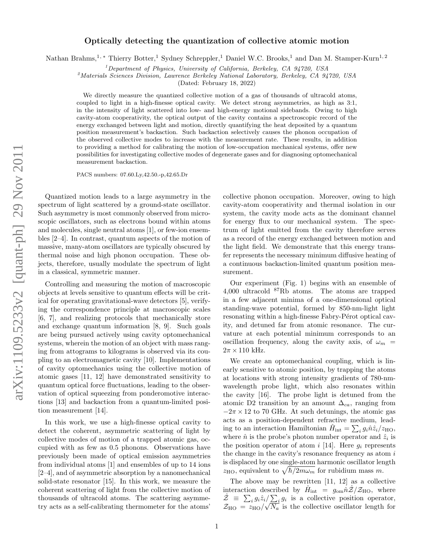## Optically detecting the quantization of collective atomic motion

Nathan Brahms,<sup>1,\*</sup> Thierry Botter,<sup>1</sup> Sydney Schreppler,<sup>1</sup> Daniel W.C. Brooks,<sup>1</sup> and Dan M. Stamper-Kurn<sup>1,2</sup>

<sup>1</sup>Department of Physics, University of California, Berkeley, CA  $94720$ , USA

 $^{2}$ Materials Sciences Division, Lawrence Berkeley National Laboratory, Berkeley, CA 94720, USA

(Dated: February 18, 2022)

We directly measure the quantized collective motion of a gas of thousands of ultracold atoms, coupled to light in a high-finesse optical cavity. We detect strong asymmetries, as high as 3:1, in the intensity of light scattered into low- and high-energy motional sidebands. Owing to high cavity-atom cooperativity, the optical output of the cavity contains a spectroscopic record of the energy exchanged between light and motion, directly quantifying the heat deposited by a quantum position measurement's backaction. Such backaction selectively causes the phonon occupation of the observed collective modes to increase with the measurement rate. These results, in addition to providing a method for calibrating the motion of low-occupation mechanical systems, offer new possibilities for investigating collective modes of degenerate gases and for diagnosing optomechanical measurement backaction.

PACS numbers: 07.60.Ly,42.50.-p,42.65.Dr

Quantized motion leads to a large asymmetry in the spectrum of light scattered by a ground-state oscillator. Such asymmetry is most commonly observed from microscopic oscillators, such as electrons bound within atoms and molecules, single neutral atoms [1], or few-ion ensembles [2–4]. In contrast, quantum aspects of the motion of massive, many-atom oscillators are typically obscured by thermal noise and high phonon occupation. These objects, therefore, usually modulate the spectrum of light in a classical, symmetric manner.

Controlling and measuring the motion of macroscopic objects at levels sensitive to quantum effects will be critical for operating gravitational-wave detectors [5], verifying the correspondence principle at macroscopic scales [6, 7], and realizing protocols that mechanically store and exchange quantum information [8, 9]. Such goals are being pursued actively using cavity optomechanical systems, wherein the motion of an object with mass ranging from attograms to kilograms is observed via its coupling to an electromagnetic cavity [10]. Implementations of cavity optomechanics using the collective motion of atomic gases [11, 12] have demonstrated sensitivity to quantum optical force fluctuations, leading to the observation of optical squeezing from ponderomotive interactions [13] and backaction from a quantum-limited position measurement [14].

In this work, we use a high-finesse optical cavity to detect the coherent, asymmetric scattering of light by collective modes of motion of a trapped atomic gas, occupied with as few as 0.5 phonons. Observations have previously been made of optical emission asymmetries from individual atoms [1] and ensembles of up to 14 ions [2–4], and of asymmetric absorption by a nanomechanical solid-state resonator [15]. In this work, we measure the coherent scattering of light from the collective motion of thousands of ultracold atoms. The scattering asymmetry acts as a self-calibrating thermometer for the atoms'

collective phonon occupation. Moreover, owing to high cavity-atom cooperativity and thermal isolation in our system, the cavity mode acts as the dominant channel for energy flux to our mechanical system. The spectrum of light emitted from the cavity therefore serves as a record of the energy exchanged between motion and the light field. We demonstrate that this energy transfer represents the necessary minimum diffusive heating of a continuous backaction-limited quantum position measurement.

Our experiment (Fig. 1) begins with an ensemble of 4,000 ultracold <sup>87</sup>Rb atoms. The atoms are trapped in a few adjacent minima of a one-dimensional optical standing-wave potential, formed by 850-nm-light light resonating within a high-finesse Fabry-Pérot optical cavity, and detuned far from atomic resonance. The curvature at each potential minimum corresponds to an oscillation frequency, along the cavity axis, of  $\omega_m$  =  $2\pi \times 110$  kHz.

We create an optomechanical coupling, which is linearly sensitive to atomic position, by trapping the atoms at locations with strong intensity gradients of 780-nmwavelength probe light, which also resonates within the cavity [16]. The probe light is detuned from the atomic D2 transition by an amount  $\Delta_{ca}$ , ranging from  $-2\pi \times 12$  to 70 GHz. At such detunings, the atomic gas acts as a position-dependent refractive medium, leading to an interaction Hamiltonian  $\hat{H}_{int} = \sum_{i} g_i \hat{n} \hat{z}_i / z_{HO},$ where  $\hat{n}$  is the probe's photon number operator and  $\hat{z}_i$  is the position operator of atom i [14]. Here  $q_i$  represents the change in the cavity's resonance frequency as atom  $i$ is displaced by one single-atom harmonic oscillator length  $z_{\text{HO}}$ , equivalent to  $\sqrt{\hbar/2m\omega_m}$  for rubidium mass m.

The above may be rewritten [11, 12] as a collective interaction described by  $\hat{H}_{int} = g_{om} \hat{n} \hat{Z}/Z_{HO}$ , where  $\hat{z} \equiv \sum_i g_i \hat{z}_i / \sum_i g_i$  is a collective position operator,  $Z = \sum_i g_i z_i / \sum_j g_i$  is a collective position operator,<br>  $Z_{\text{HO}} = z_{\text{HO}} / \sqrt{N_a}$  is the collective oscillator length for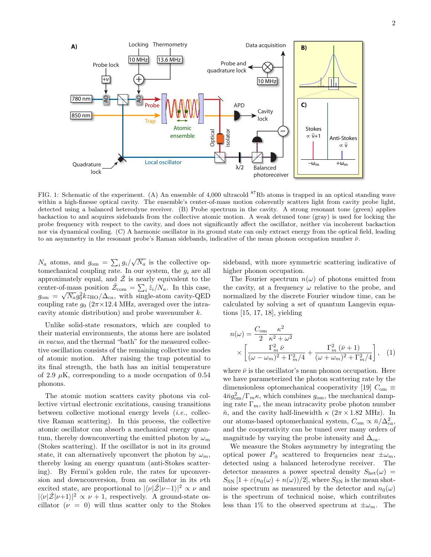

FIG. 1: Schematic of the experiment. (A) An ensemble of 4,000 ultracold  ${}^{87}Rb$  atoms is trapped in an optical standing wave within a high-finesse optical cavity. The ensemble's center-of-mass motion coherently scatters light from cavity probe light, detected using a balanced heterodyne receiver. (B) Probe spectrum in the cavity. A strong resonant tone (green) applies backaction to and acquires sidebands from the collective atomic motion. A weak detuned tone (gray) is used for locking the probe frequency with respect to the cavity, and does not significantly affect the oscillator, neither via incoherent backaction nor via dynamical cooling. (C) A harmonic oscillator in its ground state can only extract energy from the optical field, leading to an asymmetry in the resonant probe's Raman sidebands, indicative of the mean phonon occupation number  $\bar{\nu}$ .

 $N_a$  atoms, and  $g_{\text{om}} = \sum_i g_i / \sqrt{N_a}$  is the collective optomechanical coupling rate. In our system, the  $g_i$  are all approximately equal, and  $\hat{Z}$  is nearly equivalent to the center-of-mass position  $\hat{Z}_{\text{com}} = \sum_{i} \hat{z}_{i}/N_a$ . In this case,  $g_{\text{om}} = \sqrt{N_a} g_0^2 k z_{\text{HO}} / \Delta_{ca}$ , with single-atom cavity-QED coupling rate  $g_0$  ( $2\pi \times 12.4$  MHz, averaged over the intracavity atomic distribution) and probe wavenumber  $k$ .

Unlike solid-state resonators, which are coupled to their material environments, the atoms here are isolated in vacuo, and the thermal "bath" for the measured collective oscillation consists of the remaining collective modes of atomic motion. After raising the trap potential to its final strength, the bath has an initial temperature of 2.9  $\mu$ K, corresponding to a mode occupation of 0.54 phonons.

The atomic motion scatters cavity photons via collective virtual electronic excitations, causing transitions between collective motional energy levels (i.e., collective Raman scattering). In this process, the collective atomic oscillator can absorb a mechanical energy quantum, thereby downconverting the emitted photon by  $\omega_m$ (Stokes scattering). If the oscillator is not in its ground state, it can alternatively upconvert the photon by  $\omega_m$ , thereby losing an energy quantum (anti-Stokes scattering). By Fermi's golden rule, the rates for upconversion and downconversion, from an oscillator in its  $\nu$ th excited state, are proportional to  $|\langle \nu|\hat{Z}|\nu-1\rangle|^2 \propto \nu$  and  $|\langle \nu|\hat{\mathcal{Z}}|\nu+1\rangle|^2 \propto \nu + 1$ , respectively. A ground-state oscillator  $(\nu = 0)$  will thus scatter only to the Stokes

sideband, with more symmetric scattering indicative of higher phonon occupation.

The Fourier spectrum  $n(\omega)$  of photons emitted from the cavity, at a frequency  $\omega$  relative to the probe, and normalized by the discrete Fourier window time, can be calculated by solving a set of quantum Langevin equations [15, 17, 18], yielding

$$
n(\omega) = \frac{C_{\text{om}}}{2} \frac{\kappa^2}{\kappa^2 + \omega^2}
$$

$$
\times \left[ \frac{\Gamma_m^2 \bar{\nu}}{(\omega - \omega_m)^2 + \Gamma_m^2/4} + \frac{\Gamma_m^2 (\bar{\nu} + 1)}{(\omega + \omega_m)^2 + \Gamma_m^2/4} \right], \quad (1)
$$

where  $\bar{\nu}$  is the oscillator's mean phonon occupation. Here we have parameterized the photon scattering rate by the dimensionless optomechanical cooperativity [19]  $C_{\text{om}} \equiv$  $4\bar{m}g_{\text{om}}^2/\Gamma_m\kappa$ , which combines  $g_{\text{om}}$ , the mechanical damping rate  $\Gamma_m$ , the mean intracavity probe photon number  $\bar{n}$ , and the cavity half-linewidth  $\kappa$  ( $2\pi \times 1.82$  MHz). In our atoms-based optomechanical system,  $C_{\rm om} \propto \bar{n}/\Delta_{ca}^2$ , and the cooperativity can be tuned over many orders of magnitude by varying the probe intensity and  $\Delta_{ca}$ .

We measure the Stokes asymmetry by integrating the optical power  $P_+$  scattered to frequencies near  $\pm \omega_m$ , detected using a balanced heterodyne receiver. The detector measures a power spectral density  $S_{\text{het}}(\omega)$  =  $S_{\rm SN}$  [1 +  $\varepsilon(n_0(\omega) + n(\omega))/2$ ], where  $S_{\rm SN}$  is the mean shotnoise spectrum as measured by the detector and  $n_0(\omega)$ is the spectrum of technical noise, which contributes less than 1% to the observed spectrum at  $\pm \omega_m$ . The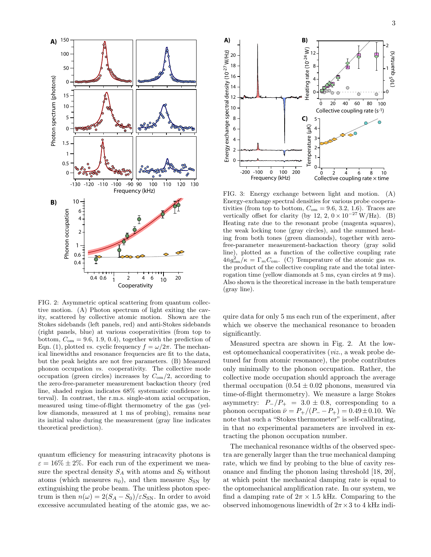

FIG. 2: Asymmetric optical scattering from quantum collective motion. (A) Photon spectrum of light exiting the cavity, scattered by collective atomic motion. Shown are the Stokes sidebands (left panels, red) and anti-Stokes sidebands (right panels, blue) at various cooperativities (from top to bottom,  $C_{\text{om}} = 9.6, 1.9, 0.4$ , together with the prediction of Eqn. (1), plotted vs. cyclic frequency  $f = \omega/2\pi$ . The mechanical linewidths and resonance frequencies are fit to the data, but the peak heights are not free parameters. (B) Measured phonon occupation vs. cooperativity. The collective mode occupation (green circles) increases by  $C_{\rm om}/2$ , according to the zero-free-parameter measurement backaction theory (red line, shaded region indicates 68% systematic confidence interval). In contrast, the r.m.s. single-atom axial occupation, measured using time-of-flight thermometry of the gas (yellow diamonds, measured at 1 ms of probing), remains near its initial value during the measurement (gray line indicates theoretical prediction).

quantum efficiency for measuring intracavity photons is  $\varepsilon = 16\% \pm 2\%.$  For each run of the experiment we measure the spectral density  $S_A$  with atoms and  $S_0$  without atoms (which measures  $n_0$ ), and then measure  $S_{SN}$  by extinguishing the probe beam. The unitless photon spectrum is then  $n(\omega) = 2(S_A - S_0)/\varepsilon S_{SN}$ . In order to avoid excessive accumulated heating of the atomic gas, we ac-



FIG. 3: Energy exchange between light and motion. (A) Energy-exchange spectral densities for various probe cooperativities (from top to bottom,  $C_{\text{om}} = 9.6, 3.2, 1.6$ ). Traces are vertically offset for clarity (by 12, 2,  $0 \times 10^{-27}$  W/Hz). (B) Heating rate due to the resonant probe (magenta squares), the weak locking tone (gray circles), and the summed heating from both tones (green diamonds), together with zerofree-parameter measurement-backaction theory (gray solid line), plotted as a function of the collective coupling rate  $4\bar{n}g_{\text{om}}^2/\kappa = \Gamma_m C_{\text{om}}$ . (C) Temperature of the atomic gas vs. the product of the collective coupling rate and the total interrogation time (yellow diamonds at 5 ms, cyan circles at 9 ms). Also shown is the theoretical increase in the bath temperature (gray line).

quire data for only 5 ms each run of the experiment, after which we observe the mechanical resonance to broaden significantly.

Measured spectra are shown in Fig. 2. At the lowest optomechanical cooperativites (viz., a weak probe detuned far from atomic resonance), the probe contributes only minimally to the phonon occupation. Rather, the collective mode occupation should approach the average thermal occupation  $(0.54 \pm 0.02)$  phonons, measured via time-of-flight thermometry). We measure a large Stokes asymmetry:  $P_-/P_+ = 3.0 \pm 0.8$ , corresponding to a phonon occupation  $\bar{\nu} = P_{+}/(P_{-} - P_{+}) = 0.49 \pm 0.10$ . We note that such a "Stokes thermometer" is self-calibrating, in that no experimental parameters are involved in extracting the phonon occupation number.

The mechanical resonance widths of the observed spectra are generally larger than the true mechanical damping rate, which we find by probing to the blue of cavity resonance and finding the phonon lasing threshold [18, 20], at which point the mechanical damping rate is equal to the optomechanical amplification rate. In our system, we find a damping rate of  $2\pi \times 1.5$  kHz. Comparing to the observed inhomogenous linewidth of  $2\pi \times 3$  to 4 kHz indi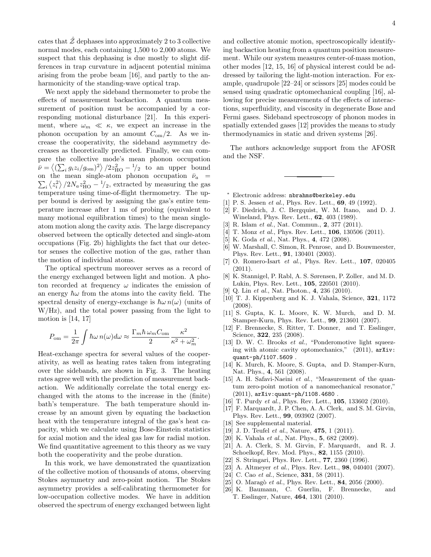cates that  $\hat{\mathcal{Z}}$  dephases into approximately 2 to 3 collective normal modes, each containing 1,500 to 2,000 atoms. We suspect that this dephasing is due mostly to slight differences in trap curvature in adjacent potential minima arising from the probe beam [16], and partly to the anharmonicity of the standing-wave optical trap.

We next apply the sideband thermometer to probe the effects of measurement backaction. A quantum measurement of position must be accompanied by a corresponding motional disturbance [21]. In this experiment, where  $\omega_m \ll \kappa$ , we expect an increase in the phonon occupation by an amount  $C_{\text{om}}/2$ . As we increase the cooperativity, the sideband asymmetry decreases as theoretically predicted. Finally, we can compare the collective mode's mean phonon occupation  $\bar{\nu} = \langle (\sum_i g_i z_i/g_{\rm om})^2 \rangle / 2z_{\rm HO}^2 - \frac{1}{2}$  to an upper bound  $\sum_{i} \langle z_i^2 \rangle / 2N_a z_{\text{HO}}^2 - \frac{1}{2}$ , extracted by measuring the gas on the mean single-atom phonon occupation  $\bar{\nu}_a$  = temperature using time-of-flight thermometry. The upper bound is derived by assigning the gas's entire temperature increase after 1 ms of probing (equivalent to many motional equilibration times) to the mean singleatom motion along the cavity axis. The large discrepancy observed between the optically detected and single-atom occupations (Fig. 2b) highlights the fact that our detector senses the collective motion of the gas, rather than the motion of individual atoms.

The optical spectrum moreover serves as a record of the energy exchanged between light and motion. A photon recorded at frequency  $\omega$  indicates the emission of an energy  $\hbar\omega$  from the atoms into the cavity field. The spectral density of energy-exchange is  $\hbar\omega n(\omega)$  (units of W/Hz), and the total power passing from the light to motion is  $[14, 17]$ 

$$
P_{\text{om}} = \frac{1}{2\pi} \int \hbar \omega \, n(\omega) d\omega \approx \frac{\Gamma_m \hbar \, \omega_m C_{\text{om}}}{2} \frac{\kappa^2}{\kappa^2 + \omega_m^2}.
$$

Heat-exchange spectra for several values of the cooperativity, as well as heating rates taken from integrating over the sidebands, are shown in Fig. 3. The heating rates agree well with the prediction of measurement backaction. We additionally correlate the total energy exchanged with the atoms to the increase in the (finite) bath's temperature. The bath temperature should increase by an amount given by equating the backaction heat with the temperature integral of the gas's heat capacity, which we calculate using Bose-Einstein statistics for axial motion and the ideal gas law for radial motion. We find quantitative agreement to this theory as we vary both the cooperativity and the probe duration.

In this work, we have demonstrated the quantization of the collective motion of thousands of atoms, observing Stokes asymmetry and zero-point motion. The Stokes asymmetry provides a self-calibrating thermometer for low-occupation collective modes. We have in addition observed the spectrum of energy exchanged between light and collective atomic motion, spectroscopically identifying backaction heating from a quantum position measurement. While our system measures center-of-mass motion, other modes [12, 15, 16] of physical interest could be addressed by tailoring the light-motion interaction. For example, quadrupole [22–24] or scissors [25] modes could be sensed using quadratic optomechanical coupling [16], allowing for precise measurements of the effects of interactions, superfluidity, and viscosity in degenerate Bose and Fermi gases. Sideband spectroscopy of phonon modes in spatially extended gases [12] provides the means to study thermodynamics in static and driven systems [26].

The authors acknowledge support from the AFOSR and the NSF.

- <sup>∗</sup> Electronic address: nbrahms@berkeley.edu
- [1] P. S. Jessen *et al.*, Phys. Rev. Lett., **69**, 49 (1992).
- [2] F. Diedrich, J. C. Bergquist, W. M. Itano, and D. J. Wineland, Phys. Rev. Lett., 62, 403 (1989).
- [3] R. Islam *et al.*, Nat. Commun., 2, 377 (2011).
- [4] T. Monz et al., Phys. Rev. Lett., **106**, 130506 (2011).
- [5] K. Goda et al., Nat. Phys., 4, 472 (2008).
- [6] W. Marshall, C. Simon, R. Penrose, and D. Bouwmeester, Phys. Rev. Lett., 91, 130401 (2003).
- [7] O. Romero-Isart *et al.*, Phys. Rev. Lett., **107**, 020405 (2011).
- [8] K. Stannigel, P. Rabl, A. S. Sørensen, P. Zoller, and M. D. Lukin, Phys. Rev. Lett., 105, 220501 (2010).
- [9] Q. Lin et al., Nat. Photon., 4, 236 (2010).
- [10] T. J. Kippenberg and K. J. Vahala, Science, 321, 1172 (2008).
- [11] S. Gupta, K. L. Moore, K. W. Murch, and D. M. Stamper-Kurn, Phys. Rev. Lett., 99, 213601 (2007).
- [12] F. Brennecke, S. Ritter, T. Donner, and T. Esslinger, Science, **322**, 235 (2008).
- [13] D. W. C. Brooks *et al.*, "Ponderomotive light squeezing with atomic cavity optomechanics," (2011), arXiv: quant-ph/1107.5609 .
- [14] K. Murch, K. Moore, S. Gupta, and D. Stamper-Kurn, Nat. Phys., 4, 561 (2008).
- [15] A. H. Safavi-Naeini et al., "Measurement of the quantum zero-point motion of a nanomechanical resonator," (2011), arXiv:quant-ph/1108.4680 .
- [16] T. Purdy et al., Phys. Rev. Lett., **105**, 133602 (2010).
- [17] F. Marquardt, J. P. Chen, A. A. Clerk, and S. M. Girvin, Phys. Rev. Lett., 99, 093902 (2007).
- [18] See supplemental material.
- [19] J. D. Teufel *et al.*, Nature, **475**, 1 (2011).
- [20] K. Vahala et al., Nat. Phys., 5, 682 (2009).
- [21] A. A. Clerk, S. M. Girvin, F. Marquardt, and R. J. Schoelkopf, Rev. Mod. Phys., 82, 1155 (2010).
- [22] S. Stringari, Phys. Rev. Lett., 77, 2360 (1996).
- [23] A. Altmeyer et al., Phys. Rev. Lett., 98, 040401 (2007).
- [24] C. Cao et al., Science, **331**, 58 (2011).
- [25] O. Maragò et al., Phys. Rev. Lett.,  $84$ ,  $2056$  (2000).
- [26] K. Baumann, C. Guerlin, F. Brennecke, and T. Esslinger, Nature, 464, 1301 (2010).